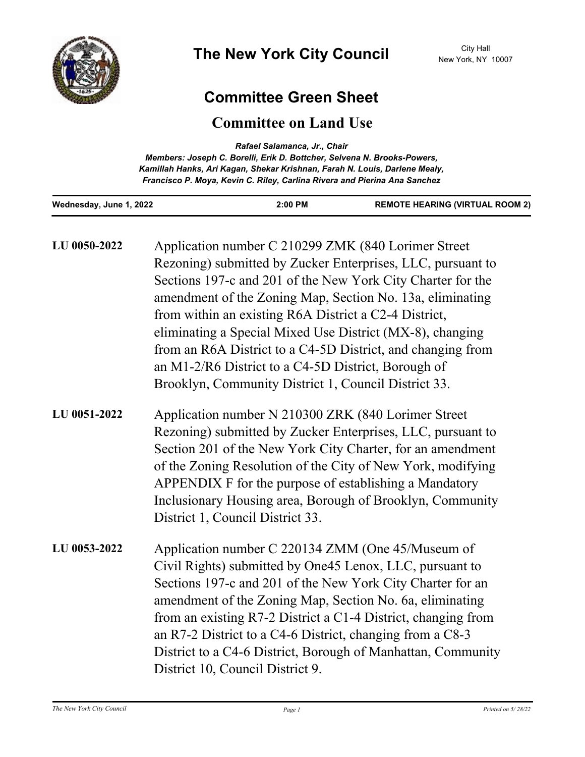

## **Committee Green Sheet**

## **Committee on Land Use**

| Rafael Salamanca, Jr., Chair<br>Members: Joseph C. Borelli, Erik D. Bottcher, Selvena N. Brooks-Powers,<br>Kamillah Hanks, Ari Kagan, Shekar Krishnan, Farah N. Louis, Darlene Mealy,<br>Francisco P. Moya, Kevin C. Riley, Carlina Rivera and Pierina Ana Sanchez |                                                                                                                                                                                                                                                                                                                                                                                                                                                                                                                                                    |         |                                                                                                                                                                                                                                                                                                                                                                                                                                                                                                                                                                               |
|--------------------------------------------------------------------------------------------------------------------------------------------------------------------------------------------------------------------------------------------------------------------|----------------------------------------------------------------------------------------------------------------------------------------------------------------------------------------------------------------------------------------------------------------------------------------------------------------------------------------------------------------------------------------------------------------------------------------------------------------------------------------------------------------------------------------------------|---------|-------------------------------------------------------------------------------------------------------------------------------------------------------------------------------------------------------------------------------------------------------------------------------------------------------------------------------------------------------------------------------------------------------------------------------------------------------------------------------------------------------------------------------------------------------------------------------|
| Wednesday, June 1, 2022                                                                                                                                                                                                                                            |                                                                                                                                                                                                                                                                                                                                                                                                                                                                                                                                                    | 2:00 PM | <b>REMOTE HEARING (VIRTUAL ROOM 2)</b>                                                                                                                                                                                                                                                                                                                                                                                                                                                                                                                                        |
| LU 0050-2022                                                                                                                                                                                                                                                       | Application number C 210299 ZMK (840 Lorimer Street<br>Rezoning) submitted by Zucker Enterprises, LLC, pursuant to<br>Sections 197-c and 201 of the New York City Charter for the<br>amendment of the Zoning Map, Section No. 13a, eliminating<br>from within an existing R6A District a C2-4 District,<br>eliminating a Special Mixed Use District (MX-8), changing<br>from an R6A District to a C4-5D District, and changing from<br>an M1-2/R6 District to a C4-5D District, Borough of<br>Brooklyn, Community District 1, Council District 33. |         |                                                                                                                                                                                                                                                                                                                                                                                                                                                                                                                                                                               |
| LU 0051-2022                                                                                                                                                                                                                                                       | District 1, Council District 33.                                                                                                                                                                                                                                                                                                                                                                                                                                                                                                                   |         | Application number N 210300 ZRK (840 Lorimer Street<br>Rezoning) submitted by Zucker Enterprises, LLC, pursuant to<br>Section 201 of the New York City Charter, for an amendment<br>of the Zoning Resolution of the City of New York, modifying<br>APPENDIX F for the purpose of establishing a Mandatory<br>Inclusionary Housing area, Borough of Brooklyn, Community                                                                                                                                                                                                        |
| LU 0053-2022                                                                                                                                                                                                                                                       |                                                                                                                                                                                                                                                                                                                                                                                                                                                                                                                                                    |         | Application number C 220134 ZMM (One 45/Museum of<br>Civil Rights) submitted by One45 Lenox, LLC, pursuant to<br>Sections 197-c and 201 of the New York City Charter for an<br>amendment of the Zoning Map, Section No. 6a, eliminating<br>$\mathbf{C}$ $\mathbf{C}$ $\mathbf{C}$ $\mathbf{C}$ $\mathbf{C}$ $\mathbf{C}$ $\mathbf{C}$ $\mathbf{C}$ $\mathbf{C}$ $\mathbf{C}$ $\mathbf{C}$ $\mathbf{C}$ $\mathbf{C}$ $\mathbf{C}$ $\mathbf{C}$ $\mathbf{C}$ $\mathbf{C}$ $\mathbf{C}$ $\mathbf{C}$ $\mathbf{C}$ $\mathbf{C}$ $\mathbf{C}$ $\mathbf{C}$ $\mathbf{C}$ $\mathbf{$ |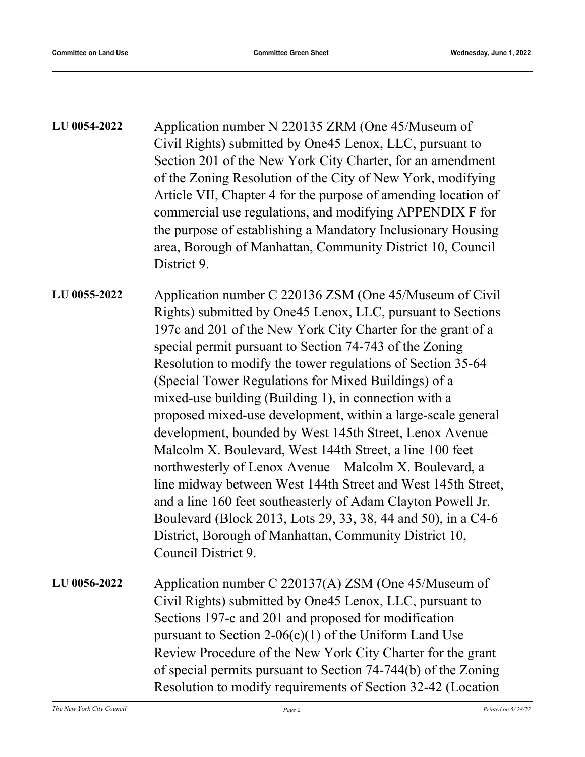| <b>LU 0054-2022</b> | Application number N 220135 ZRM (One 45/Museum of                                                                             |                                                            |  |  |
|---------------------|-------------------------------------------------------------------------------------------------------------------------------|------------------------------------------------------------|--|--|
|                     | Civil Rights) submitted by One45 Lenox, LLC, pursuant to                                                                      |                                                            |  |  |
|                     | Section 201 of the New York City Charter, for an amendment                                                                    |                                                            |  |  |
|                     | of the Zoning Resolution of the City of New York, modifying<br>Article VII, Chapter 4 for the purpose of amending location of |                                                            |  |  |
|                     |                                                                                                                               |                                                            |  |  |
|                     | the purpose of establishing a Mandatory Inclusionary Housing                                                                  |                                                            |  |  |
|                     |                                                                                                                               | area, Borough of Manhattan, Community District 10, Council |  |  |
|                     | District 9.                                                                                                                   |                                                            |  |  |
|                     |                                                                                                                               |                                                            |  |  |

Application number C 220136 ZSM (One 45/Museum of Civil Rights) submitted by One45 Lenox, LLC, pursuant to Sections 197c and 201 of the New York City Charter for the grant of a special permit pursuant to Section 74-743 of the Zoning Resolution to modify the tower regulations of Section 35-64 (Special Tower Regulations for Mixed Buildings) of a mixed-use building (Building 1), in connection with a proposed mixed-use development, within a large-scale general development, bounded by West 145th Street, Lenox Avenue – Malcolm X. Boulevard, West 144th Street, a line 100 feet northwesterly of Lenox Avenue – Malcolm X. Boulevard, a line midway between West 144th Street and West 145th Street, and a line 160 feet southeasterly of Adam Clayton Powell Jr. Boulevard (Block 2013, Lots 29, 33, 38, 44 and 50), in a C4-6 District, Borough of Manhattan, Community District 10, Council District 9. **LU 0055-2022**

Application number C 220137(A) ZSM (One 45/Museum of Civil Rights) submitted by One45 Lenox, LLC, pursuant to Sections 197-c and 201 and proposed for modification pursuant to Section 2-06(c)(1) of the Uniform Land Use Review Procedure of the New York City Charter for the grant of special permits pursuant to Section 74-744(b) of the Zoning Resolution to modify requirements of Section 32-42 (Location **LU 0056-2022**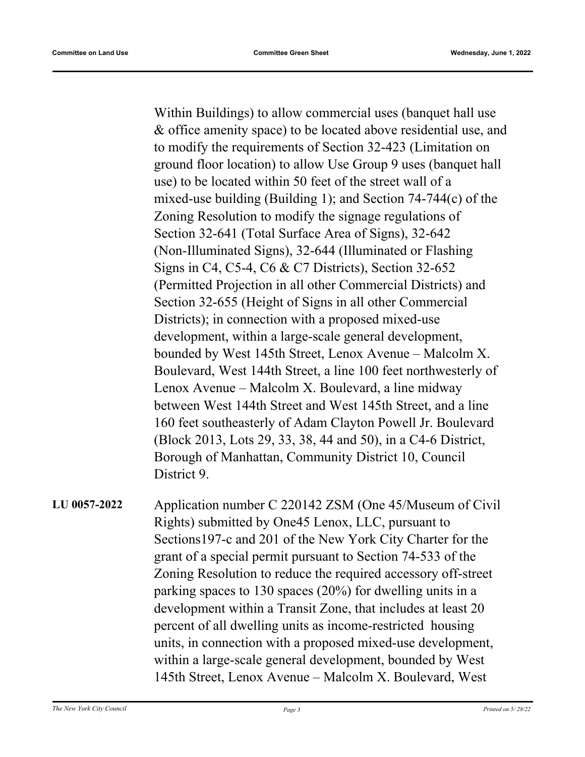Within Buildings) to allow commercial uses (banquet hall use & office amenity space) to be located above residential use, and to modify the requirements of Section 32-423 (Limitation on ground floor location) to allow Use Group 9 uses (banquet hall use) to be located within 50 feet of the street wall of a mixed-use building (Building 1); and Section 74-744(c) of the Zoning Resolution to modify the signage regulations of Section 32-641 (Total Surface Area of Signs), 32-642 (Non-Illuminated Signs), 32-644 (Illuminated or Flashing Signs in C4, C5-4, C6 & C7 Districts), Section 32-652 (Permitted Projection in all other Commercial Districts) and Section 32-655 (Height of Signs in all other Commercial Districts); in connection with a proposed mixed-use development, within a large-scale general development, bounded by West 145th Street, Lenox Avenue – Malcolm X. Boulevard, West 144th Street, a line 100 feet northwesterly of Lenox Avenue – Malcolm X. Boulevard, a line midway between West 144th Street and West 145th Street, and a line 160 feet southeasterly of Adam Clayton Powell Jr. Boulevard (Block 2013, Lots 29, 33, 38, 44 and 50), in a C4-6 District, Borough of Manhattan, Community District 10, Council District 9.

Application number C 220142 ZSM (One 45/Museum of Civil Rights) submitted by One45 Lenox, LLC, pursuant to Sections197-c and 201 of the New York City Charter for the grant of a special permit pursuant to Section 74-533 of the Zoning Resolution to reduce the required accessory off-street parking spaces to 130 spaces (20%) for dwelling units in a development within a Transit Zone, that includes at least 20 percent of all dwelling units as income-restricted housing units, in connection with a proposed mixed-use development, within a large-scale general development, bounded by West 145th Street, Lenox Avenue – Malcolm X. Boulevard, West **LU 0057-2022**